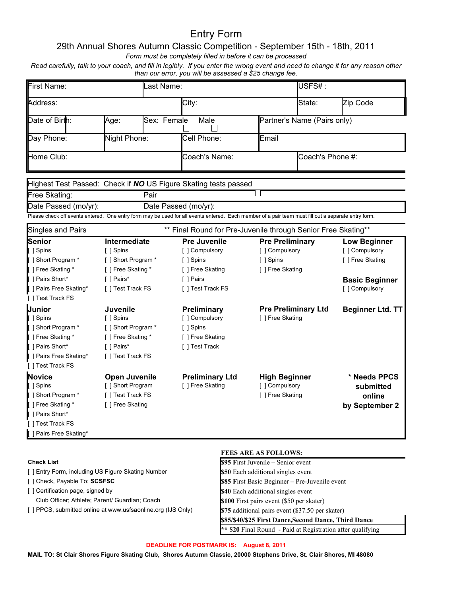# Entry Form

# 29th Annual Shores Autumn Classic Competition - September 15th - 18th, 2011

*Form must be completely filled in before it can be processed*

*Read carefully, talk to your coach, and fill in legibly. If you enter the wrong event and need to change it for any reason other than our error, you will be assessed a \$25 change fee.*

| First Name:                                                                                                                                         |                      | Last Name:        |                                                               |                            | USFS#:                      |                         |
|-----------------------------------------------------------------------------------------------------------------------------------------------------|----------------------|-------------------|---------------------------------------------------------------|----------------------------|-----------------------------|-------------------------|
| Address:                                                                                                                                            |                      | City:             |                                                               | State:                     | Zip Code                    |                         |
| Date of Birth:                                                                                                                                      | Age:                 | Sex: Female       | Male                                                          |                            | Partner's Name (Pairs only) |                         |
| Night Phone:<br>Day Phone:                                                                                                                          |                      | Cell Phone:       | Email                                                         |                            |                             |                         |
| Home Club:                                                                                                                                          |                      | Coach's Name:     |                                                               | Coach's Phone $#$ :        |                             |                         |
| Highest Test Passed: Check if <b>NO</b> US Figure Skating tests passed                                                                              |                      |                   |                                                               |                            |                             |                         |
| Free Skating:                                                                                                                                       |                      | Pair              |                                                               |                            |                             |                         |
| Date Passed (mo/yr):                                                                                                                                |                      |                   | Date Passed (mo/yr):                                          |                            |                             |                         |
| Please check off events entered. One entry form may be used for all events entered. Each member of a pair team must fill out a separate entry form. |                      |                   |                                                               |                            |                             |                         |
| Singles and Pairs                                                                                                                                   |                      |                   | ** Final Round for Pre-Juvenile through Senior Free Skating** |                            |                             |                         |
| Senior                                                                                                                                              | Intermediate         |                   | <b>Pre Juvenile</b>                                           | <b>Pre Preliminary</b>     |                             | <b>Low Beginner</b>     |
| [ ] Spins                                                                                                                                           | [ ] Spins            |                   | [] Compulsory                                                 | [] Compulsory              |                             | [ ] Compulsory          |
| [ ] Short Program *                                                                                                                                 | [ ] Short Program *  |                   | [ ] Spins                                                     | [ ] Spins                  |                             | [ ] Free Skating        |
| [ ] Free Skating *                                                                                                                                  | [ ] Free Skating *   |                   | [ ] Free Skating                                              | [ ] Free Skating           |                             |                         |
| Pairs Short*                                                                                                                                        | [ ] Pairs*           |                   | [ ] Pairs                                                     |                            |                             | <b>Basic Beginner</b>   |
| [ ] Pairs Free Skating*<br>[ ] Test Track FS                                                                                                        |                      | [ ] Test Track FS |                                                               |                            | [ ] Compulsory              |                         |
| [ ] Test Track FS                                                                                                                                   |                      |                   |                                                               |                            |                             |                         |
| Junior                                                                                                                                              | Juvenile             |                   | Preliminary                                                   | <b>Pre Preliminary Ltd</b> |                             | <b>Beginner Ltd. TT</b> |
| [ ] Spins                                                                                                                                           | [ ] Spins            |                   | [] Compulsory                                                 | [ ] Free Skating           |                             |                         |
| [ ] Short Program *                                                                                                                                 | [ ] Short Program *  |                   | [ ] Spins                                                     |                            |                             |                         |
| [ ] Free Skating *                                                                                                                                  | [ ] Free Skating *   |                   | [ ] Free Skating                                              |                            |                             |                         |
| [ ] Pairs Short*                                                                                                                                    | [ ] Pairs*           |                   | [ ] Test Track                                                |                            |                             |                         |
| [ ] Pairs Free Skating*                                                                                                                             | [ ] Test Track FS    |                   |                                                               |                            |                             |                         |
| [ ] Test Track FS                                                                                                                                   |                      |                   |                                                               |                            |                             |                         |
| Novice                                                                                                                                              | <b>Open Juvenile</b> |                   | <b>Preliminary Ltd</b>                                        | <b>High Beginner</b>       |                             | * Needs PPCS            |
| [ ] Spins                                                                                                                                           | [ ] Short Program    |                   | [ ] Free Skating                                              | [] Compulsory              |                             | submitted               |
| [ ] Short Program *                                                                                                                                 | [ ] Test Track FS    |                   |                                                               | [ ] Free Skating           |                             | online                  |
| [ ] Free Skating *                                                                                                                                  | [ ] Free Skating     |                   |                                                               |                            |                             | by September 2          |
| [ ] Pairs Short*                                                                                                                                    |                      |                   |                                                               |                            |                             |                         |
| [ ] Test Track FS                                                                                                                                   |                      |                   |                                                               |                            |                             |                         |
| [ ] Pairs Free Skating*                                                                                                                             |                      |                   |                                                               |                            |                             |                         |
|                                                                                                                                                     |                      |                   |                                                               |                            |                             |                         |

#### **Check List**

[ ] Entry Form, including US Figure Skating Number

- [ ] Check, Payable To: **SCSFSC**
- [ ] Certification page, signed by
- Club Officer; Athlete; Parent/ Guardian; Coach
- [ ] PPCS, submitted online at www.usfsaonline.org (IJS Only)

### **FEES ARE AS FOLLOWS:**

| \$95 First Juvenile – Senior event                          |
|-------------------------------------------------------------|
| \$50 Each additional singles event                          |
| \$85 First Basic Beginner - Pre-Juvenile event              |
| \$40 Each additional singles event                          |
| \$100 First pairs event (\$50 per skater)                   |
| \$75 additional pairs event (\$37.50 per skater)            |
| \$85/\$40/\$25 First Dance, Second Dance, Third Dance       |
| ** \$20 Final Round - Paid at Registration after qualifying |

## **DEADLINE FOR POSTMARK IS: August 8, 2011**